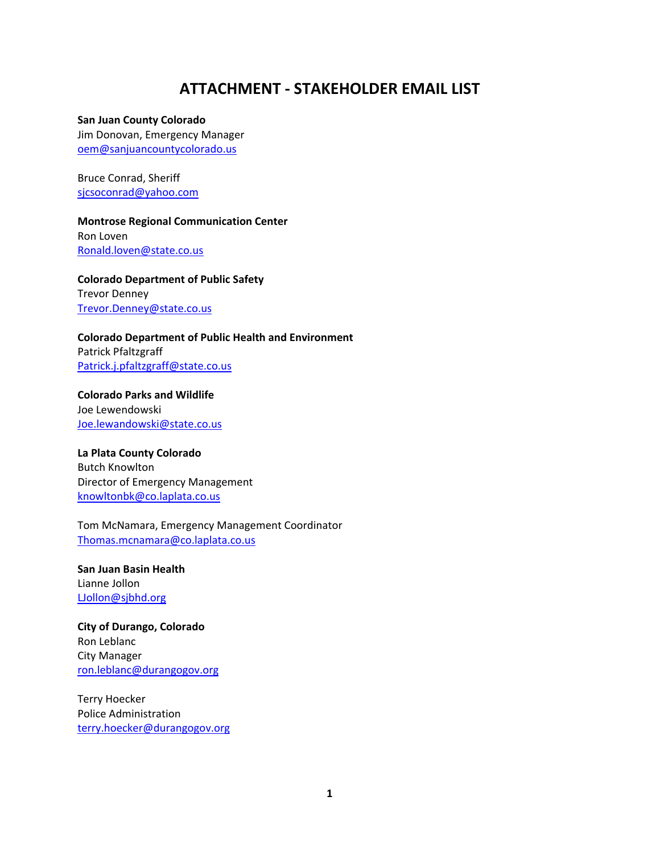## **ATTACHMENT ‐ STAKEHOLDER EMAIL LIST**

**San Juan County Colorado**

Jim Donovan, Emergency Manager oem@sanjuancountycolorado.us

Bruce Conrad, Sheriff sjcsoconrad@yahoo.com

**Montrose Regional Communication Center** Ron Loven Ronald.loven@state.co.us

**Colorado Department of Public Safety** Trevor Denney Trevor.Denney@state.co.us

**Colorado Department of Public Health and Environment** Patrick Pfaltzgraff Patrick.j.pfaltzgraff@state.co.us

**Colorado Parks and Wildlife** Joe Lewendowski Joe.lewandowski@state.co.us

**La Plata County Colorado** Butch Knowlton Director of Emergency Management knowltonbk@co.laplata.co.us

Tom McNamara, Emergency Management Coordinator Thomas.mcnamara@co.laplata.co.us

**San Juan Basin Health** Lianne Jollon LJollon@sjbhd.org

**City of Durango, Colorado** Ron Leblanc City Manager ron.leblanc@durangogov.org

Terry Hoecker Police Administration terry.hoecker@durangogov.org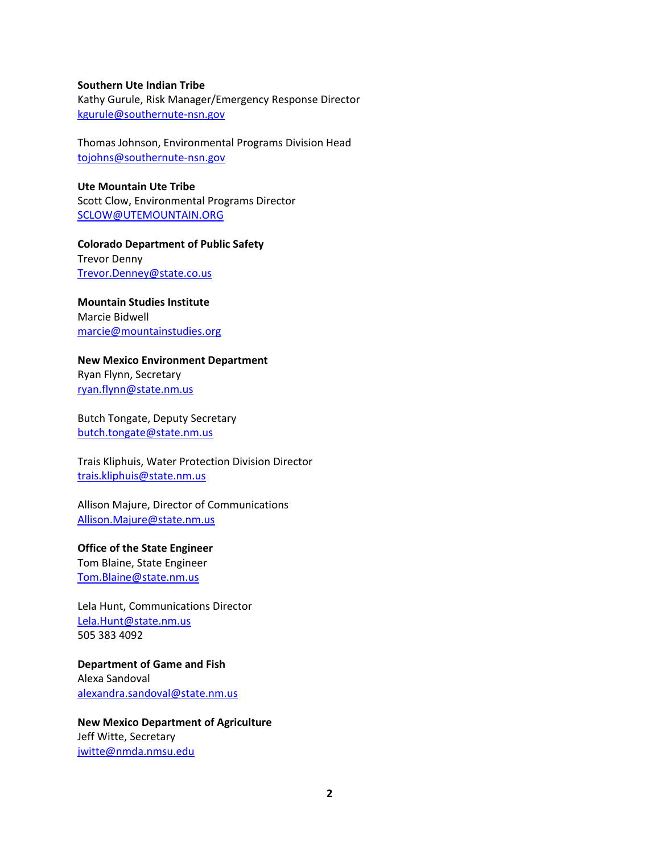### **Southern Ute Indian Tribe**

Kathy Gurule, Risk Manager/Emergency Response Director kgurule@southernute‐nsn.gov

Thomas Johnson, Environmental Programs Division Head tojohns@southernute‐nsn.gov

**Ute Mountain Ute Tribe** Scott Clow, Environmental Programs Director SCLOW@UTEMOUNTAIN.ORG

**Colorado Department of Public Safety** Trevor Denny Trevor.Denney@state.co.us

**Mountain Studies Institute** Marcie Bidwell marcie@mountainstudies.org

## **New Mexico Environment Department**

Ryan Flynn, Secretary ryan.flynn@state.nm.us

Butch Tongate, Deputy Secretary butch.tongate@state.nm.us

Trais Kliphuis, Water Protection Division Director trais.kliphuis@state.nm.us

Allison Majure, Director of Communications Allison.Majure@state.nm.us

#### **Office of the State Engineer**

Tom Blaine, State Engineer Tom.Blaine@state.nm.us

Lela Hunt, Communications Director Lela.Hunt@state.nm.us 505 383 4092

**Department of Game and Fish** Alexa Sandoval alexandra.sandoval@state.nm.us

**New Mexico Department of Agriculture** Jeff Witte, Secretary jwitte@nmda.nmsu.edu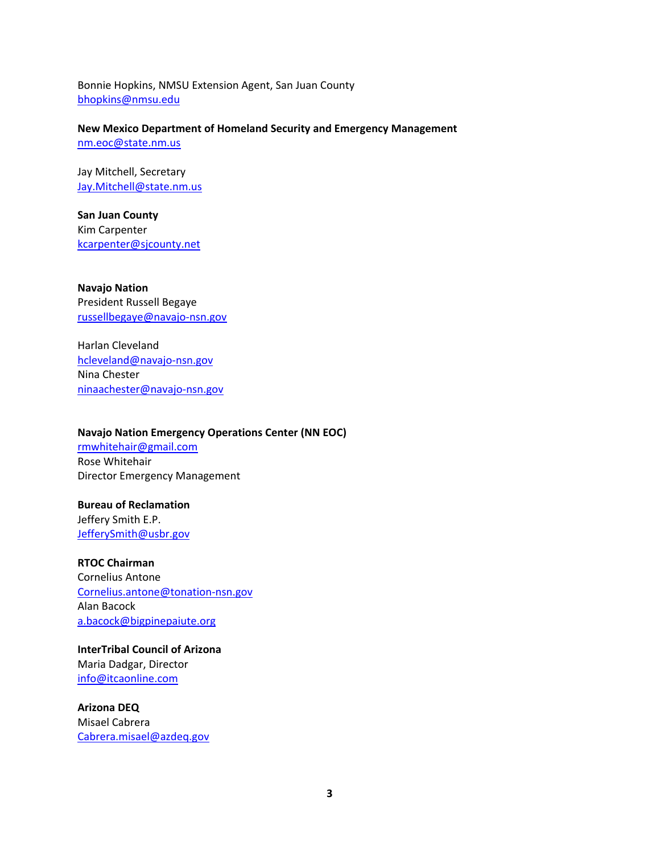Bonnie Hopkins, NMSU Extension Agent, San Juan County bhopkins@nmsu.edu

**New Mexico Department of Homeland Security and Emergency Management** nm.eoc@state.nm.us

Jay Mitchell, Secretary Jay.Mitchell@state.nm.us

**San Juan County** Kim Carpenter kcarpenter@sjcounty.net

**Navajo Nation** President Russell Begaye russellbegaye@navajo‐nsn.gov

Harlan Cleveland hcleveland@navajo‐nsn.gov Nina Chester ninaachester@navajo‐nsn.gov

## **Navajo Nation Emergency Operations Center (NN EOC)**

rmwhitehair@gmail.com Rose Whitehair Director Emergency Management

## **Bureau of Reclamation**

Jeffery Smith E.P. JefferySmith@usbr.gov

**RTOC Chairman** Cornelius Antone Cornelius.antone@tonation‐nsn.gov

Alan Bacock a.bacock@bigpinepaiute.org

**InterTribal Council of Arizona** Maria Dadgar, Director info@itcaonline.com

**Arizona DEQ** Misael Cabrera Cabrera.misael@azdeq.gov